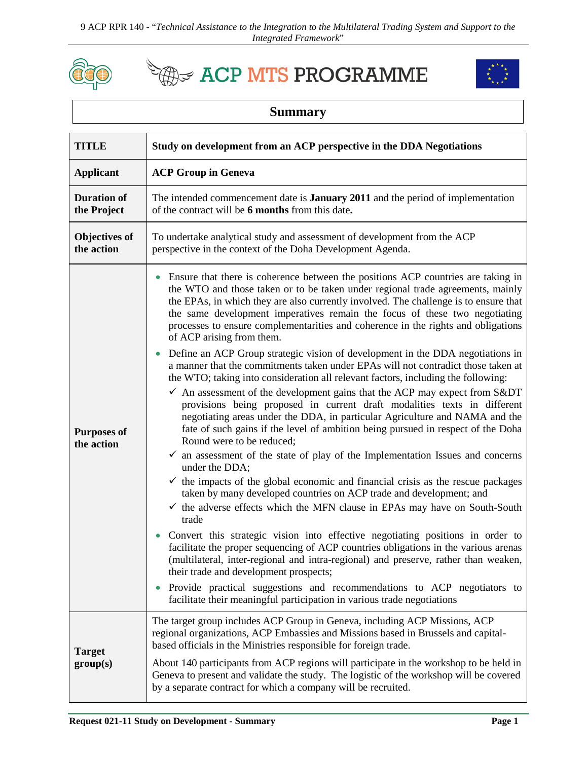

**EXACP MTS PROGRAMME** 



## **Summary**

| <b>TITLE</b>                       | Study on development from an ACP perspective in the DDA Negotiations                                                                                                                                                                                                                                                                                                                                                                                                                                                      |
|------------------------------------|---------------------------------------------------------------------------------------------------------------------------------------------------------------------------------------------------------------------------------------------------------------------------------------------------------------------------------------------------------------------------------------------------------------------------------------------------------------------------------------------------------------------------|
| <b>Applicant</b>                   | <b>ACP Group in Geneva</b>                                                                                                                                                                                                                                                                                                                                                                                                                                                                                                |
| <b>Duration of</b><br>the Project  | The intended commencement date is <b>January 2011</b> and the period of implementation<br>of the contract will be 6 months from this date.                                                                                                                                                                                                                                                                                                                                                                                |
| <b>Objectives of</b><br>the action | To undertake analytical study and assessment of development from the ACP<br>perspective in the context of the Doha Development Agenda.                                                                                                                                                                                                                                                                                                                                                                                    |
| <b>Purposes of</b><br>the action   | Ensure that there is coherence between the positions ACP countries are taking in<br>$\bullet$<br>the WTO and those taken or to be taken under regional trade agreements, mainly<br>the EPAs, in which they are also currently involved. The challenge is to ensure that<br>the same development imperatives remain the focus of these two negotiating<br>processes to ensure complementarities and coherence in the rights and obligations<br>of ACP arising from them.                                                   |
|                                    | Define an ACP Group strategic vision of development in the DDA negotiations in<br>$\bullet$<br>a manner that the commitments taken under EPAs will not contradict those taken at<br>the WTO; taking into consideration all relevant factors, including the following:<br>$\checkmark$ An assessment of the development gains that the ACP may expect from S&DT<br>provisions being proposed in current draft modalities texts in different<br>negotiating areas under the DDA, in particular Agriculture and NAMA and the |
|                                    | fate of such gains if the level of ambition being pursued in respect of the Doha<br>Round were to be reduced;<br>$\checkmark$ an assessment of the state of play of the Implementation Issues and concerns<br>under the DDA;                                                                                                                                                                                                                                                                                              |
|                                    | $\checkmark$ the impacts of the global economic and financial crisis as the rescue packages<br>taken by many developed countries on ACP trade and development; and<br>$\checkmark$ the adverse effects which the MFN clause in EPAs may have on South-South<br>trade                                                                                                                                                                                                                                                      |
|                                    | Convert this strategic vision into effective negotiating positions in order to<br>$\bullet$<br>facilitate the proper sequencing of ACP countries obligations in the various arenas<br>(multilateral, inter-regional and intra-regional) and preserve, rather than weaken,<br>their trade and development prospects;                                                                                                                                                                                                       |
|                                    | Provide practical suggestions and recommendations to ACP negotiators to<br>$\bullet$<br>facilitate their meaningful participation in various trade negotiations                                                                                                                                                                                                                                                                                                                                                           |
| <b>Target</b><br>group(s)          | The target group includes ACP Group in Geneva, including ACP Missions, ACP<br>regional organizations, ACP Embassies and Missions based in Brussels and capital-<br>based officials in the Ministries responsible for foreign trade.                                                                                                                                                                                                                                                                                       |
|                                    | About 140 participants from ACP regions will participate in the workshop to be held in<br>Geneva to present and validate the study. The logistic of the workshop will be covered<br>by a separate contract for which a company will be recruited.                                                                                                                                                                                                                                                                         |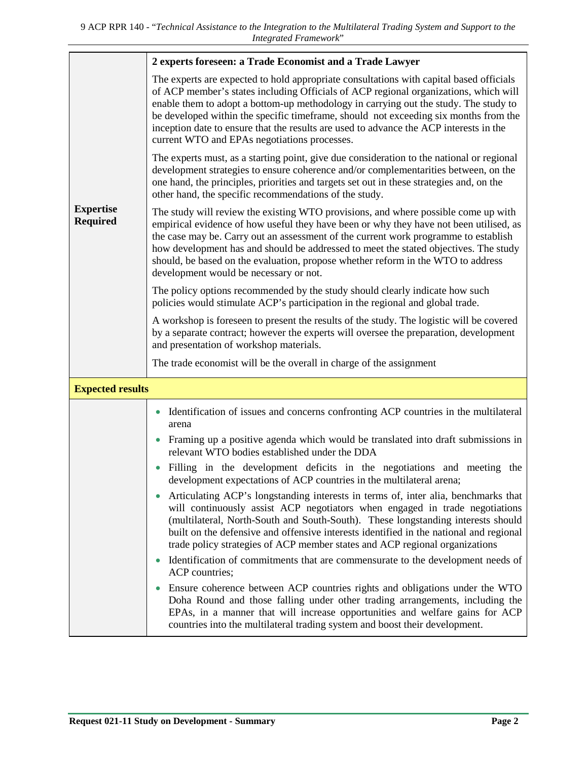|                                     | 2 experts foreseen: a Trade Economist and a Trade Lawyer                                                                                                                                                                                                                                                                                                                                                                                                                                                  |  |
|-------------------------------------|-----------------------------------------------------------------------------------------------------------------------------------------------------------------------------------------------------------------------------------------------------------------------------------------------------------------------------------------------------------------------------------------------------------------------------------------------------------------------------------------------------------|--|
|                                     | The experts are expected to hold appropriate consultations with capital based officials<br>of ACP member's states including Officials of ACP regional organizations, which will<br>enable them to adopt a bottom-up methodology in carrying out the study. The study to<br>be developed within the specific timeframe, should not exceeding six months from the<br>inception date to ensure that the results are used to advance the ACP interests in the<br>current WTO and EPAs negotiations processes. |  |
|                                     | The experts must, as a starting point, give due consideration to the national or regional<br>development strategies to ensure coherence and/or complementarities between, on the<br>one hand, the principles, priorities and targets set out in these strategies and, on the<br>other hand, the specific recommendations of the study.                                                                                                                                                                    |  |
| <b>Expertise</b><br><b>Required</b> | The study will review the existing WTO provisions, and where possible come up with<br>empirical evidence of how useful they have been or why they have not been utilised, as<br>the case may be. Carry out an assessment of the current work programme to establish<br>how development has and should be addressed to meet the stated objectives. The study<br>should, be based on the evaluation, propose whether reform in the WTO to address<br>development would be necessary or not.                 |  |
|                                     | The policy options recommended by the study should clearly indicate how such<br>policies would stimulate ACP's participation in the regional and global trade.                                                                                                                                                                                                                                                                                                                                            |  |
|                                     | A workshop is foreseen to present the results of the study. The logistic will be covered<br>by a separate contract; however the experts will oversee the preparation, development<br>and presentation of workshop materials.                                                                                                                                                                                                                                                                              |  |
|                                     | The trade economist will be the overall in charge of the assignment                                                                                                                                                                                                                                                                                                                                                                                                                                       |  |
| <b>Expected results</b>             |                                                                                                                                                                                                                                                                                                                                                                                                                                                                                                           |  |
|                                     | Identification of issues and concerns confronting ACP countries in the multilateral<br>$\bullet$<br>arena                                                                                                                                                                                                                                                                                                                                                                                                 |  |
|                                     | Framing up a positive agenda which would be translated into draft submissions in<br>relevant WTO bodies established under the DDA                                                                                                                                                                                                                                                                                                                                                                         |  |
|                                     | Filling in the development deficits in the negotiations and meeting the<br>development expectations of ACP countries in the multilateral arena;                                                                                                                                                                                                                                                                                                                                                           |  |
|                                     | Articulating ACP's longstanding interests in terms of, inter alia, benchmarks that<br>$\bullet$<br>will continuously assist ACP negotiators when engaged in trade negotiations<br>(multilateral, North-South and South-South). These longstanding interests should<br>built on the defensive and offensive interests identified in the national and regional<br>trade policy strategies of ACP member states and ACP regional organizations                                                               |  |
|                                     | Identification of commitments that are commensurate to the development needs of<br>$\bullet$<br>ACP countries;                                                                                                                                                                                                                                                                                                                                                                                            |  |
|                                     | Ensure coherence between ACP countries rights and obligations under the WTO<br>Doha Round and those falling under other trading arrangements, including the<br>EPAs, in a manner that will increase opportunities and welfare gains for ACP<br>countries into the multilateral trading system and boost their development.                                                                                                                                                                                |  |